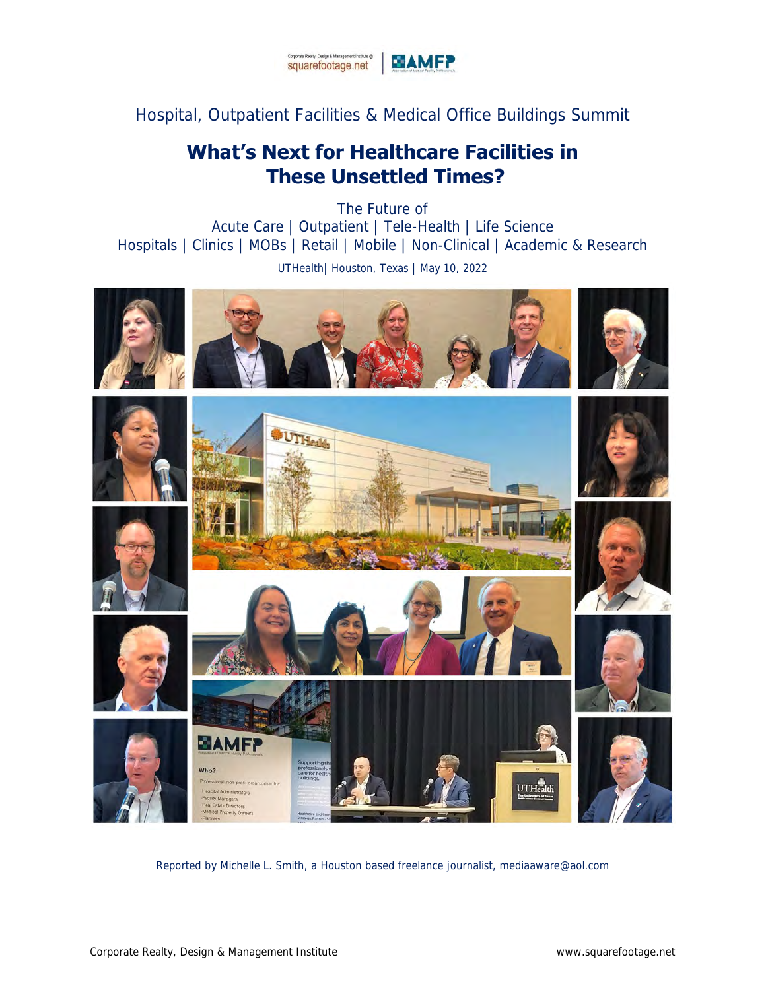

Hospital, Outpatient Facilities & Medical Office Buildings Summit

## **What's Next for Healthcare Facilities in These Unsettled Times?**

The Future of Acute Care | Outpatient | Tele-Health | Life Science Hospitals | Clinics | MOBs | Retail | Mobile | Non-Clinical | Academic & Research UTHealth| Houston, Texas | May 10, 2022



Reported by Michelle L. Smith, a Houston based freelance journalist, [mediaaware@aol.com](file:///C:/Users/Glenn/Documents/WORKING%20Files/Office2010/Word/Seminars_2021-2022/HOU/Recap%20Page/mediaaware@aol.com)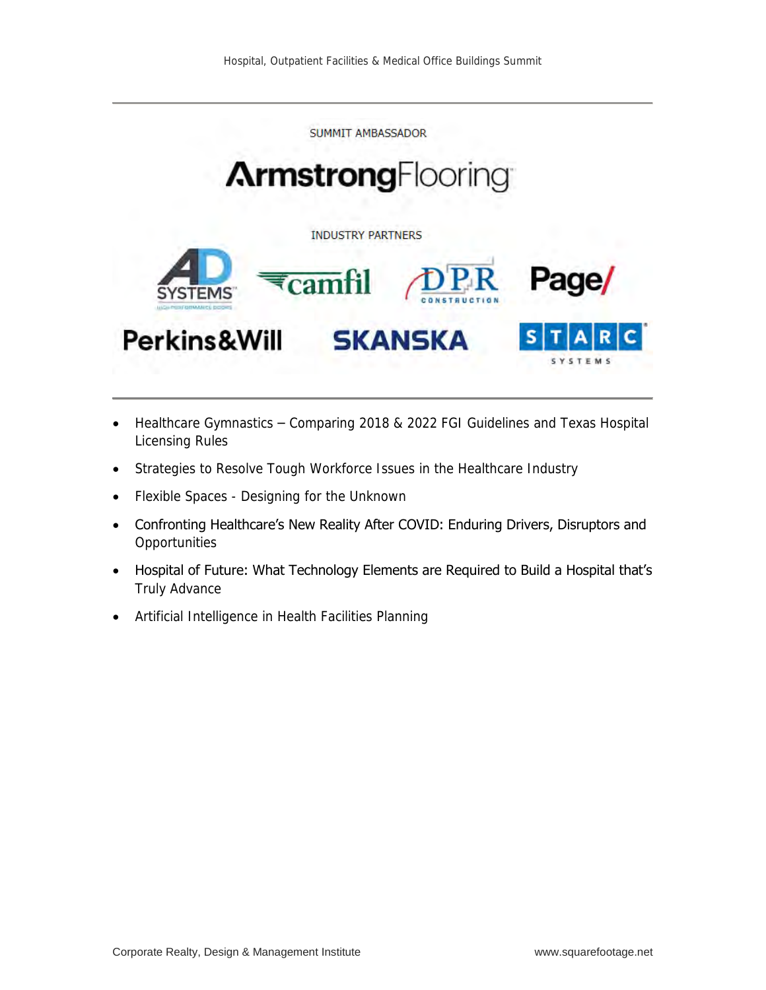SUMMIT AMBASSADOR

# **ArmstrongFlooring**

**INDUSTRY PARTNERS** 



- Healthcare Gymnastics Comparing 2018 & 2022 FGI Guidelines and Texas Hospital Licensing Rules
- Strategies to Resolve Tough Workforce Issues in the Healthcare Industry
- Flexible Spaces Designing for the Unknown
- Confronting Healthcare's New Reality After COVID: Enduring Drivers, Disruptors and **Opportunities**
- Hospital of Future: What Technology Elements are Required to Build a Hospital that's Truly Advance
- Artificial Intelligence in Health Facilities Planning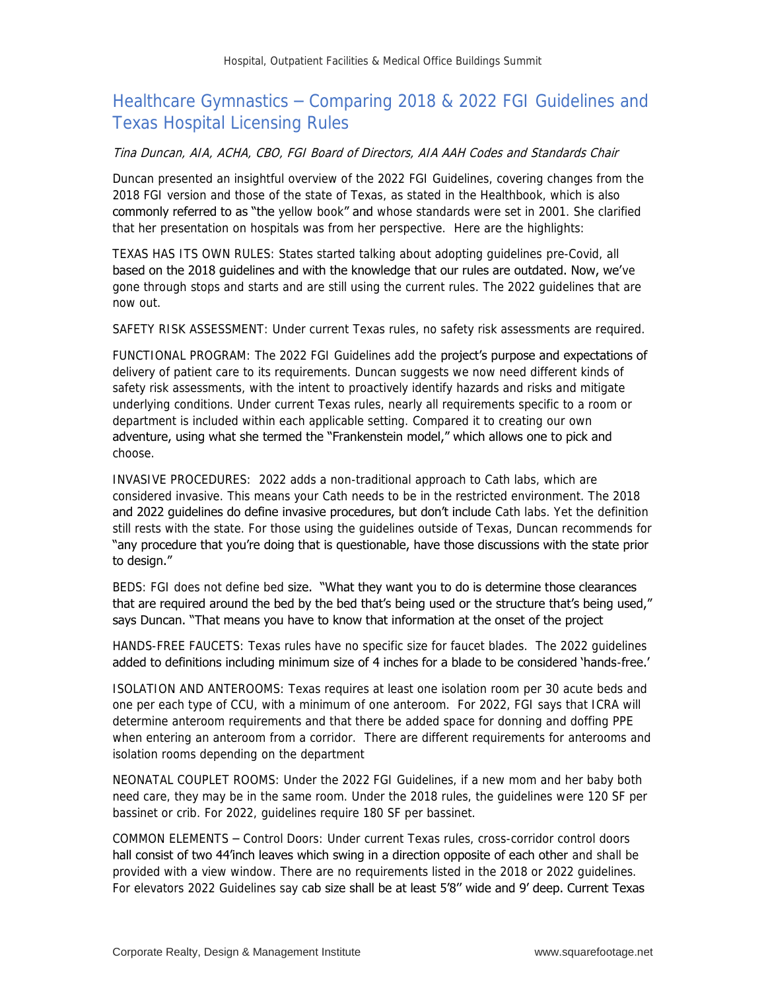## Healthcare Gymnastics – Comparing 2018 & 2022 FGI Guidelines and Texas Hospital Licensing Rules

#### Tina Duncan, AIA, ACHA, CBO, FGI Board of Directors, AIA AAH Codes and Standards Chair

Duncan presented an insightful overview of the 2022 FGI Guidelines, covering changes from the 2018 FGI version and those of the state of Texas, as stated in the Healthbook, which is also commonly referred to as "the yellow book" and whose standards were set in 2001. She clarified that her presentation on hospitals was from her perspective. Here are the highlights:

TEXAS HAS ITS OWN RULES: States started talking about adopting guidelines pre-Covid, all based on the 2018 guidelines and with the knowledge that our rules are outdated. Now, we've gone through stops and starts and are still using the current rules. The 2022 guidelines that are now out.

SAFETY RISK ASSESSMENT: Under current Texas rules, no safety risk assessments are required.

FUNCTIONAL PROGRAM: The 2022 FGI Guidelines add the **project's purpose and expectations of** delivery of patient care to its requirements. Duncan suggests we now need different kinds of safety risk assessments, with the intent to proactively identify hazards and risks and mitigate underlying conditions. Under current Texas rules, nearly all requirements specific to a room or department is included within each applicable setting. Compared it to creating our own adventure, using what she termed the "Frankenstein model," which allows one to pick and choose.

INVASIVE PROCEDURES: 2022 adds a non-traditional approach to Cath labs, which are considered invasive. This means your Cath needs to be in the restricted environment. The 2018 and 2022 quidelines do define invasive procedures, but don't include Cath labs. Yet the definition still rests with the state. For those using the guidelines outside of Texas, Duncan recommends for "any procedure that you're doing that is questionable, have those discussions with the state prior to design."

BEDS: FGI does not define bed size. "What they want you to do is determine those clearances that are required around the bed by the bed that's being used or the structure that's being used," says Duncan. "That means you have to know that information at the onset of the project

HANDS-FREE FAUCETS: Texas rules have no specific size for faucet blades. The 2022 guidelines added to definitions including minimum size of 4 inches for a blade to be considered 'hands-free.'

ISOLATION AND ANTEROOMS: Texas requires at least one isolation room per 30 acute beds and one per each type of CCU, with a minimum of one anteroom. For 2022, FGI says that ICRA will determine anteroom requirements and that there be added space for donning and doffing PPE when entering an anteroom from a corridor. There are different requirements for anterooms and isolation rooms depending on the department

NEONATAL COUPLET ROOMS: Under the 2022 FGI Guidelines, if a new mom and her baby both need care, they may be in the same room. Under the 2018 rules, the guidelines were 120 SF per bassinet or crib. For 2022, guidelines require 180 SF per bassinet.

COMMON ELEMENTS – Control Doors: Under current Texas rules, cross-corridor control doors hall consist of two 44'inch leaves which swing in a direction opposite of each other and shall be provided with a view window. There are no requirements listed in the 2018 or 2022 guidelines. For elevators 2022 Guidelines say cab size shall be at least 5'8" wide and 9' deep. Current Texas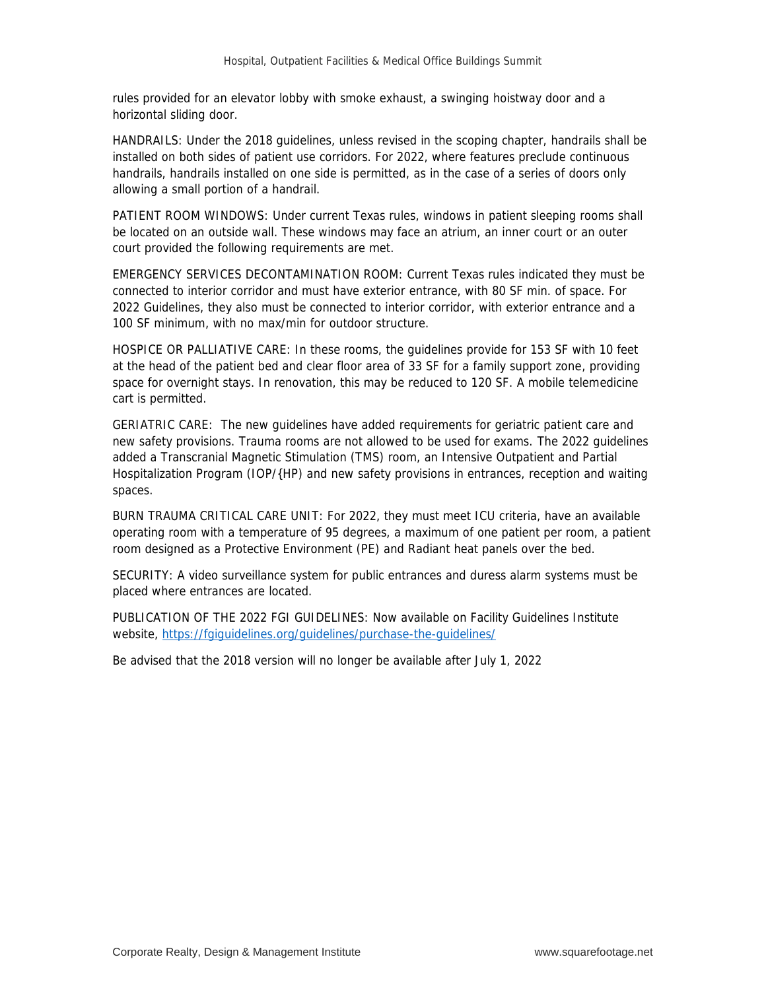rules provided for an elevator lobby with smoke exhaust, a swinging hoistway door and a horizontal sliding door.

HANDRAILS: Under the 2018 guidelines, unless revised in the scoping chapter, handrails shall be installed on both sides of patient use corridors. For 2022, where features preclude continuous handrails, handrails installed on one side is permitted, as in the case of a series of doors only allowing a small portion of a handrail.

PATIENT ROOM WINDOWS: Under current Texas rules, windows in patient sleeping rooms shall be located on an outside wall. These windows may face an atrium, an inner court or an outer court provided the following requirements are met.

EMERGENCY SERVICES DECONTAMINATION ROOM: Current Texas rules indicated they must be connected to interior corridor and must have exterior entrance, with 80 SF min. of space. For 2022 Guidelines, they also must be connected to interior corridor, with exterior entrance and a 100 SF minimum, with no max/min for outdoor structure.

HOSPICE OR PALLIATIVE CARE: In these rooms, the guidelines provide for 153 SF with 10 feet at the head of the patient bed and clear floor area of 33 SF for a family support zone, providing space for overnight stays. In renovation, this may be reduced to 120 SF. A mobile telemedicine cart is permitted.

GERIATRIC CARE: The new guidelines have added requirements for geriatric patient care and new safety provisions. Trauma rooms are not allowed to be used for exams. The 2022 guidelines added a Transcranial Magnetic Stimulation (TMS) room, an Intensive Outpatient and Partial Hospitalization Program (IOP/{HP) and new safety provisions in entrances, reception and waiting spaces.

BURN TRAUMA CRITICAL CARE UNIT: For 2022, they must meet ICU criteria, have an available operating room with a temperature of 95 degrees, a maximum of one patient per room, a patient room designed as a Protective Environment (PE) and Radiant heat panels over the bed.

SECURITY: A video surveillance system for public entrances and duress alarm systems must be placed where entrances are located.

PUBLICATION OF THE 2022 FGI GUIDELINES: Now available on Facility Guidelines Institute website,<https://fgiguidelines.org/guidelines/purchase-the-guidelines/>

Be advised that the 2018 version will no longer be available after July 1, 2022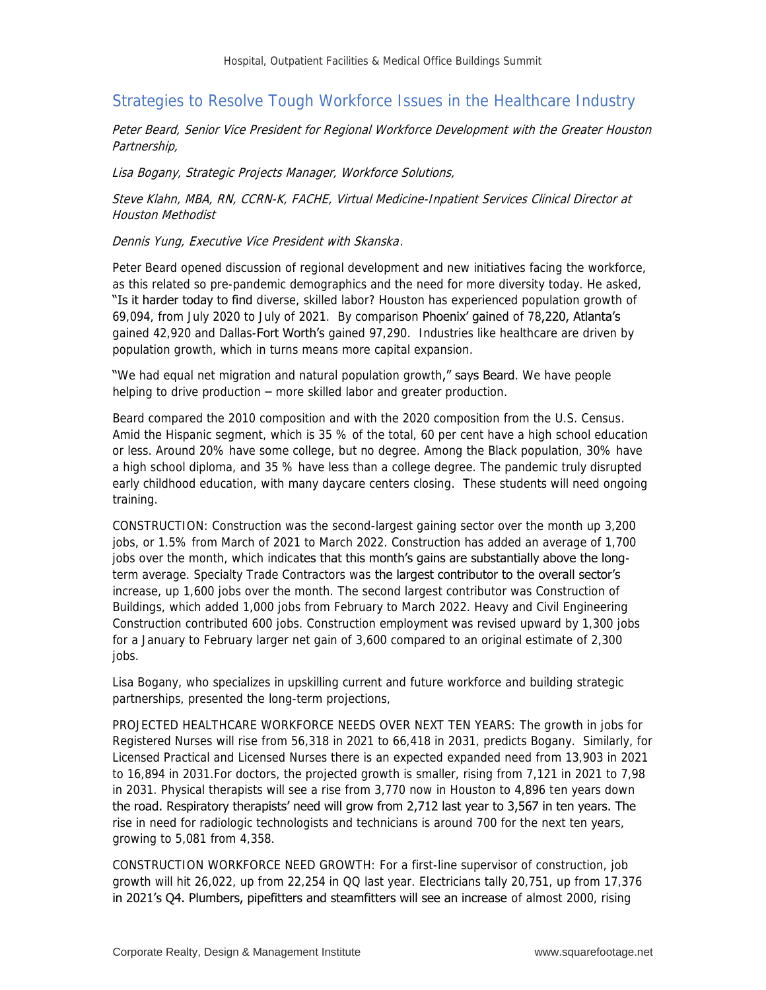## Strategies to Resolve Tough Workforce Issues in the Healthcare Industry

Peter Beard, Senior Vice President for Regional Workforce Development with the Greater Houston Partnership,

Lisa Bogany, Strategic Projects Manager, Workforce Solutions,

Steve Klahn, MBA, RN, CCRN-K, FACHE, Virtual Medicine-Inpatient Services Clinical Director at Houston Methodist

Dennis Yung, Executive Vice President with Skanska.

Peter Beard opened discussion of regional development and new initiatives facing the workforce, as this related so pre-pandemic demographics and the need for more diversity today. He asked, "Is it harder today to find diverse, skilled labor? Houston has experienced population growth of 69,094, from July 2020 to July of 2021. By comparison Phoenix' gained of 78,220, Atlanta's gained 42,920 and Dallas-Fort Worth's gained 97,290. Industries like healthcare are driven by population growth, which in turns means more capital expansion.

"We had equal net migration and natural population growth," says Beard. We have people helping to drive production – more skilled labor and greater production.

Beard compared the 2010 composition and with the 2020 composition from the U.S. Census. Amid the Hispanic segment, which is 35 % of the total, 60 per cent have a high school education or less. Around 20% have some college, but no degree. Among the Black population, 30% have a high school diploma, and 35 % have less than a college degree. The pandemic truly disrupted early childhood education, with many daycare centers closing. These students will need ongoing training.

CONSTRUCTION: Construction was the second-largest gaining sector over the month up 3,200 jobs, or 1.5% from March of 2021 to March 2022. Construction has added an average of 1,700 jobs over the month, which indicates that this month's gains are substantially above the longterm average. Specialty Trade Contractors was the largest contributor to the overall sector's increase, up 1,600 jobs over the month. The second largest contributor was Construction of Buildings, which added 1,000 jobs from February to March 2022. Heavy and Civil Engineering Construction contributed 600 jobs. Construction employment was revised upward by 1,300 jobs for a January to February larger net gain of 3,600 compared to an original estimate of 2,300 jobs.

Lisa Bogany, who specializes in upskilling current and future workforce and building strategic partnerships, presented the long-term projections,

PROJECTED HEALTHCARE WORKFORCE NEEDS OVER NEXT TEN YEARS: The growth in jobs for Registered Nurses will rise from 56,318 in 2021 to 66,418 in 2031, predicts Bogany. Similarly, for Licensed Practical and Licensed Nurses there is an expected expanded need from 13,903 in 2021 to 16,894 in 2031.For doctors, the projected growth is smaller, rising from 7,121 in 2021 to 7,98 in 2031. Physical therapists will see a rise from 3,770 now in Houston to 4,896 ten years down the road. Respiratory therapists' need will grow from 2,712 last year to 3,567 in ten years. The rise in need for radiologic technologists and technicians is around 700 for the next ten years, growing to 5,081 from 4,358.

CONSTRUCTION WORKFORCE NEED GROWTH: For a first-line supervisor of construction, job growth will hit 26,022, up from 22,254 in QQ last year. Electricians tally 20,751, up from 17,376 in 2021's O4. Plumbers, pipefitters and steamfitters will see an increase of almost 2000, rising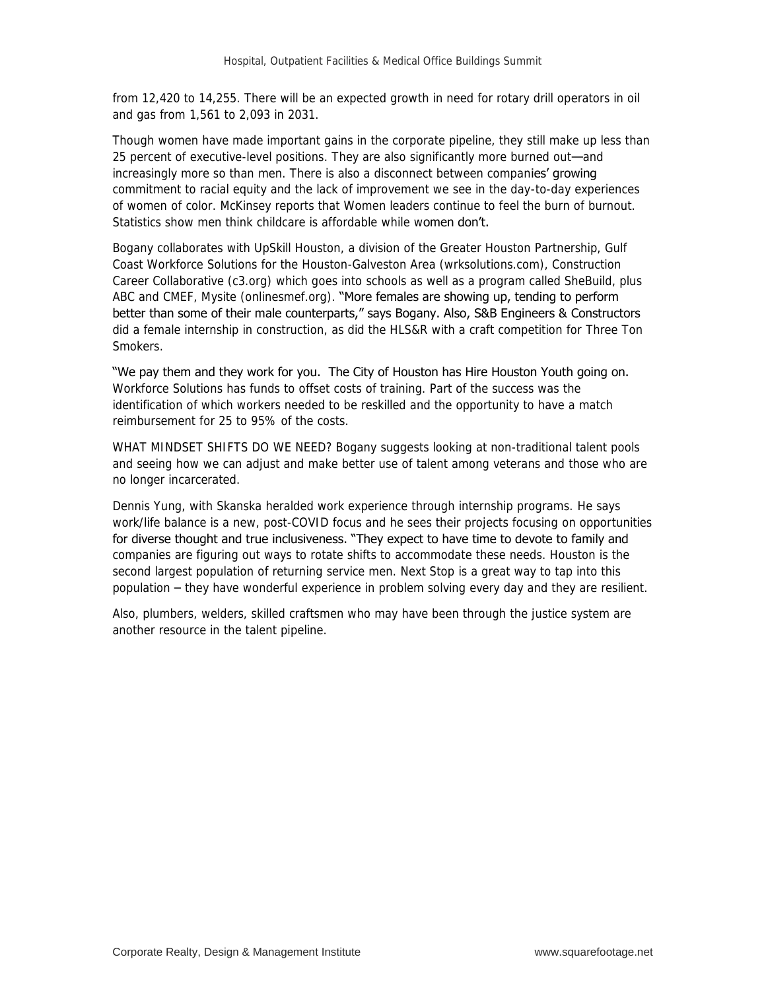from 12,420 to 14,255. There will be an expected growth in need for rotary drill operators in oil and gas from 1,561 to 2,093 in 2031.

Though women have made important gains in the corporate pipeline, they still make up less than 25 percent of executive-level positions. They are also significantly more burned out—and increasingly more so than men. There is also a disconnect between companies' growing commitment to racial equity and the lack of improvement we see in the day-to-day experiences of women of color. McKinsey reports that Women leaders continue to feel the burn of burnout. Statistics show men think childcare is affordable while women don't.

Bogany collaborates with UpSkill Houston, a division of the Greater Houston Partnership, Gulf Coast Workforce Solutions for the Houston-Galveston Area (wrksolutions.com), Construction Career Collaborative (c3.org) which goes into schools as well as a program called SheBuild, plus ABC and CMEF, Mysite (onlinesmef.org). "More females are showing up, tending to perform better than some of their male counterparts," says Bogany. Also, S&B Engineers & Constructors did a female internship in construction, as did the HLS&R with a craft competition for Three Ton Smokers.

"We pay them and they work for you. The City of Houston has Hire Houston Youth going on. Workforce Solutions has funds to offset costs of training. Part of the success was the identification of which workers needed to be reskilled and the opportunity to have a match reimbursement for 25 to 95% of the costs.

WHAT MINDSET SHIFTS DO WE NEED? Bogany suggests looking at non-traditional talent pools and seeing how we can adjust and make better use of talent among veterans and those who are no longer incarcerated.

Dennis Yung, with Skanska heralded work experience through internship programs. He says work/life balance is a new, post-COVID focus and he sees their projects focusing on opportunities for diverse thought and true inclusiveness. "They expect to have time to devote to family and companies are figuring out ways to rotate shifts to accommodate these needs. Houston is the second largest population of returning service men. Next Stop is a great way to tap into this population – they have wonderful experience in problem solving every day and they are resilient.

Also, plumbers, welders, skilled craftsmen who may have been through the justice system are another resource in the talent pipeline.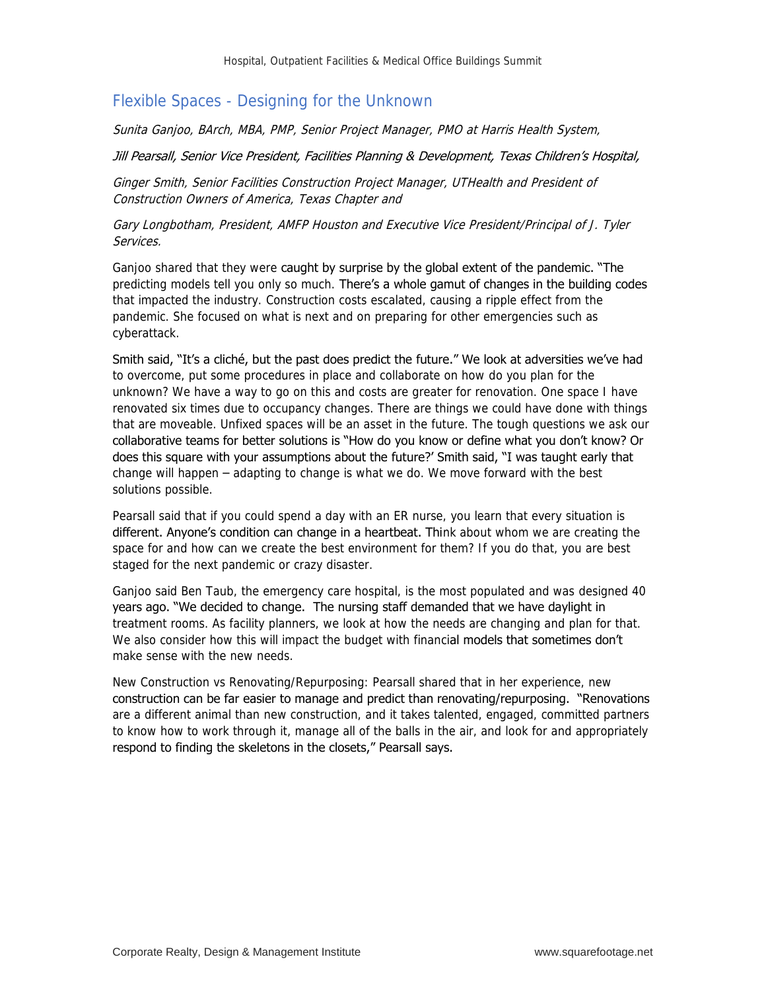## Flexible Spaces - Designing for the Unknown

Sunita Ganjoo, BArch, MBA, PMP, Senior Project Manager, PMO at Harris Health System,

#### Jill Pearsall, Senior Vice President, Facilities Planning & Development, Texas Children's Hospital,

Ginger Smith, Senior Facilities Construction Project Manager, UTHealth and President of Construction Owners of America, Texas Chapter and

Gary Longbotham, President, AMFP Houston and Executive Vice President/Principal of J. Tyler Services.

Ganjoo shared that they were caught by surprise by the global extent of the pandemic. "The predicting models tell you only so much. There's a whole gamut of changes in the building codes that impacted the industry. Construction costs escalated, causing a ripple effect from the pandemic. She focused on what is next and on preparing for other emergencies such as cyberattack.

Smith said, "It's a cliché, but the past does predict the future." We look at adversities we've had to overcome, put some procedures in place and collaborate on how do you plan for the unknown? We have a way to go on this and costs are greater for renovation. One space I have renovated six times due to occupancy changes. There are things we could have done with things that are moveable. Unfixed spaces will be an asset in the future. The tough questions we ask our collaborative teams for better solutions is "How do you know or define what you don't know? Or does this square with your assumptions about the future?' Smith said, "I was taught early that change will happen – adapting to change is what we do. We move forward with the best solutions possible.

Pearsall said that if you could spend a day with an ER nurse, you learn that every situation is different. Anyone's condition can change in a heartbeat. Think about whom we are creating the space for and how can we create the best environment for them? If you do that, you are best staged for the next pandemic or crazy disaster.

Ganjoo said Ben Taub, the emergency care hospital, is the most populated and was designed 40 years ago. "We decided to change. The nursing staff demanded that we have daylight in treatment rooms. As facility planners, we look at how the needs are changing and plan for that. We also consider how this will impact the budget with financial models that sometimes don't make sense with the new needs.

New Construction vs Renovating/Repurposing: Pearsall shared that in her experience, new construction can be far easier to manage and predict than renovating/repurposing. "Renovations are a different animal than new construction, and it takes talented, engaged, committed partners to know how to work through it, manage all of the balls in the air, and look for and appropriately respond to finding the skeletons in the closets," Pearsall says.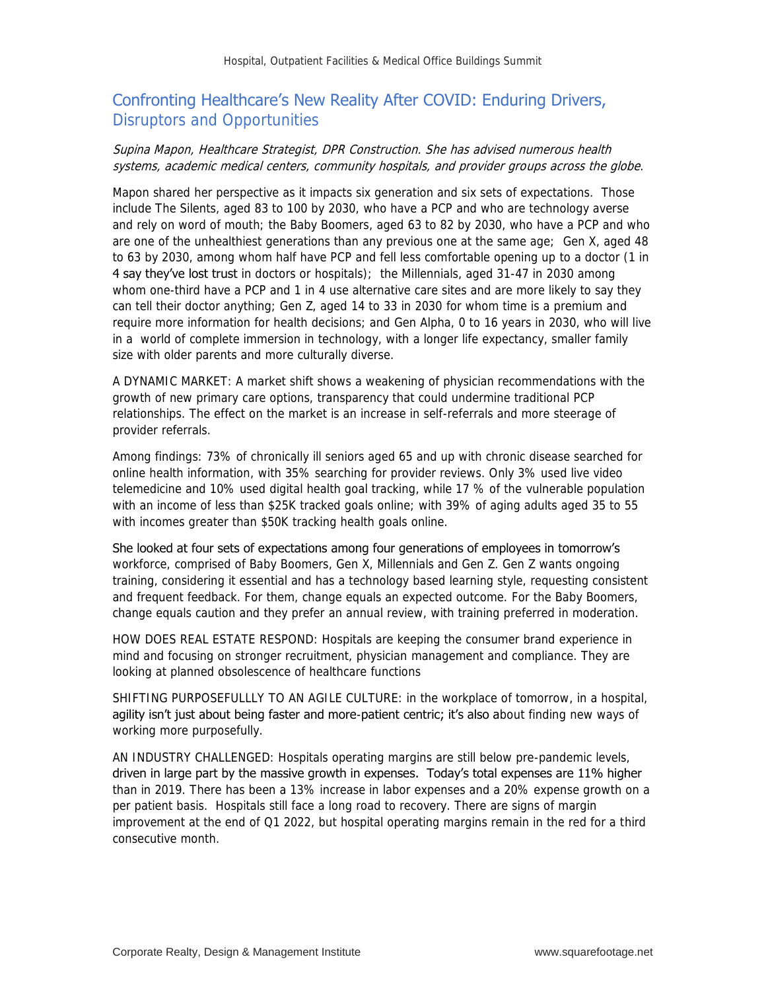## Confronting Healthcare's New Reality After COVID: Enduring Drivers, Disruptors and Opportunities

#### Supina Mapon, Healthcare Strategist, DPR Construction. She has advised numerous health systems, academic medical centers, community hospitals, and provider groups across the globe.

Mapon shared her perspective as it impacts six generation and six sets of expectations. Those include The Silents, aged 83 to 100 by 2030, who have a PCP and who are technology averse and rely on word of mouth; the Baby Boomers, aged 63 to 82 by 2030, who have a PCP and who are one of the unhealthiest generations than any previous one at the same age; Gen X, aged 48 to 63 by 2030, among whom half have PCP and fell less comfortable opening up to a doctor (1 in 4 say they've lost trust in doctors or hospitals); the Millennials, aged 31-47 in 2030 among whom one-third have a PCP and 1 in 4 use alternative care sites and are more likely to say they can tell their doctor anything; Gen Z, aged 14 to 33 in 2030 for whom time is a premium and require more information for health decisions; and Gen Alpha, 0 to 16 years in 2030, who will live in a world of complete immersion in technology, with a longer life expectancy, smaller family size with older parents and more culturally diverse.

A DYNAMIC MARKET: A market shift shows a weakening of physician recommendations with the growth of new primary care options, transparency that could undermine traditional PCP relationships. The effect on the market is an increase in self-referrals and more steerage of provider referrals.

Among findings: 73% of chronically ill seniors aged 65 and up with chronic disease searched for online health information, with 35% searching for provider reviews. Only 3% used live video telemedicine and 10% used digital health goal tracking, while 17 % of the vulnerable population with an income of less than \$25K tracked goals online; with 39% of aging adults aged 35 to 55 with incomes greater than \$50K tracking health goals online.

#### She looked at four sets of expectations among four generations of employees in tomorrow's

workforce, comprised of Baby Boomers, Gen X, Millennials and Gen Z. Gen Z wants ongoing training, considering it essential and has a technology based learning style, requesting consistent and frequent feedback. For them, change equals an expected outcome. For the Baby Boomers, change equals caution and they prefer an annual review, with training preferred in moderation.

HOW DOES REAL ESTATE RESPOND: Hospitals are keeping the consumer brand experience in mind and focusing on stronger recruitment, physician management and compliance. They are looking at planned obsolescence of healthcare functions

SHIFTING PURPOSEFULLLY TO AN AGILE CULTURE: in the workplace of tomorrow, in a hospital, agility isn't just about being faster and more-patient centric; it's also about finding new ways of working more purposefully.

AN INDUSTRY CHALLENGED: Hospitals operating margins are still below pre-pandemic levels, driven in large part by the massive growth in expenses. Today's total expenses are 11% higher than in 2019. There has been a 13% increase in labor expenses and a 20% expense growth on a per patient basis. Hospitals still face a long road to recovery. There are signs of margin improvement at the end of Q1 2022, but hospital operating margins remain in the red for a third consecutive month.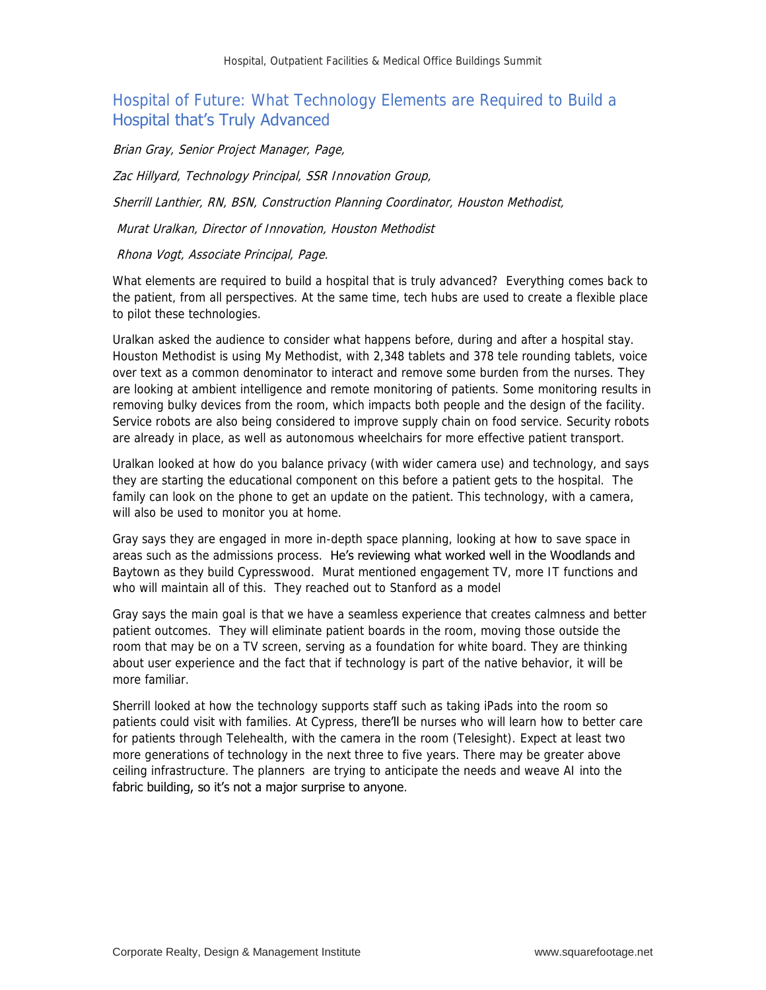## Hospital of Future: What Technology Elements are Required to Build a Hospital that's Truly Advanced

Brian Gray, Senior Project Manager, Page,

Zac Hillyard, Technology Principal, SSR Innovation Group,

Sherrill Lanthier, RN, BSN, Construction Planning Coordinator, Houston Methodist,

Murat Uralkan, Director of Innovation, Houston Methodist

#### Rhona Vogt, Associate Principal, Page.

What elements are required to build a hospital that is truly advanced? Everything comes back to the patient, from all perspectives. At the same time, tech hubs are used to create a flexible place to pilot these technologies.

Uralkan asked the audience to consider what happens before, during and after a hospital stay. Houston Methodist is using My Methodist, with 2,348 tablets and 378 tele rounding tablets, voice over text as a common denominator to interact and remove some burden from the nurses. They are looking at ambient intelligence and remote monitoring of patients. Some monitoring results in removing bulky devices from the room, which impacts both people and the design of the facility. Service robots are also being considered to improve supply chain on food service. Security robots are already in place, as well as autonomous wheelchairs for more effective patient transport.

Uralkan looked at how do you balance privacy (with wider camera use) and technology, and says they are starting the educational component on this before a patient gets to the hospital. The family can look on the phone to get an update on the patient. This technology, with a camera, will also be used to monitor you at home.

Gray says they are engaged in more in-depth space planning, looking at how to save space in areas such as the admissions process. He's reviewing what worked well in the Woodlands and Baytown as they build Cypresswood. Murat mentioned engagement TV, more IT functions and who will maintain all of this. They reached out to Stanford as a model

Gray says the main goal is that we have a seamless experience that creates calmness and better patient outcomes. They will eliminate patient boards in the room, moving those outside the room that may be on a TV screen, serving as a foundation for white board. They are thinking about user experience and the fact that if technology is part of the native behavior, it will be more familiar.

Sherrill looked at how the technology supports staff such as taking iPads into the room so patients could visit with families. At Cypress, there'll be nurses who will learn how to better care for patients through Telehealth, with the camera in the room (Telesight). Expect at least two more generations of technology in the next three to five years. There may be greater above ceiling infrastructure. The planners are trying to anticipate the needs and weave AI into the fabric building, so it's not a major surprise to anyone.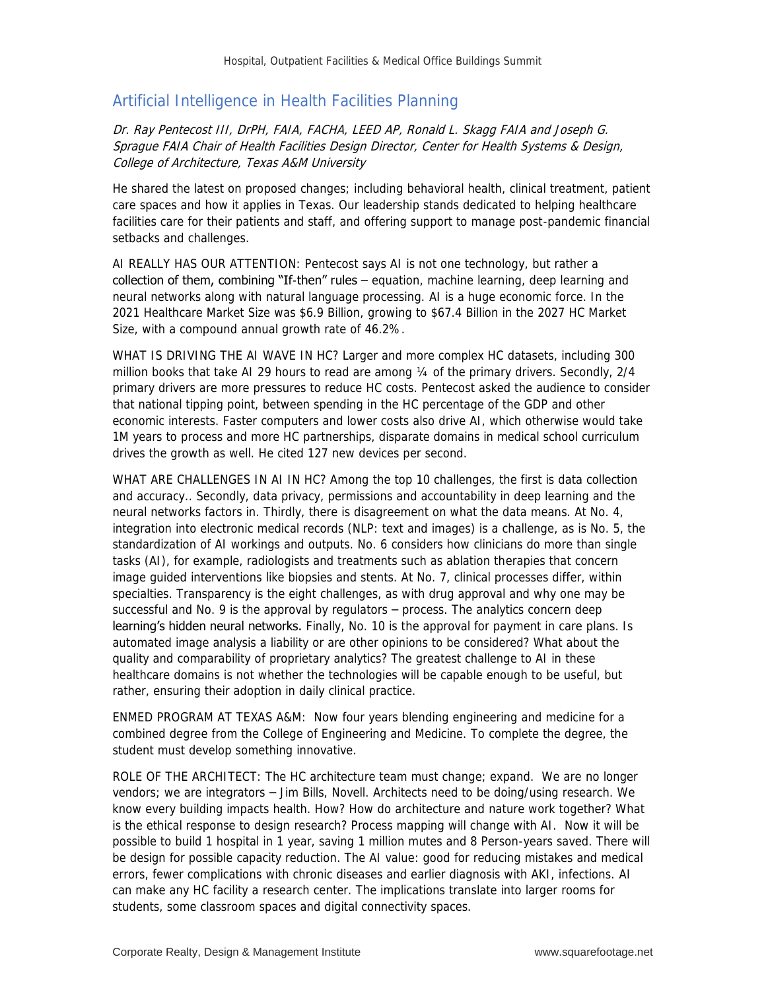### Artificial Intelligence in Health Facilities Planning

#### Dr. Ray Pentecost III, DrPH, FAIA, FACHA, LEED AP, Ronald L. Skagg FAIA and Joseph G. Sprague FAIA Chair of Health Facilities Design Director, Center for Health Systems & Design, College of Architecture, Texas A&M University

He shared the latest on proposed changes; including behavioral health, clinical treatment, patient care spaces and how it applies in Texas. Our leadership stands dedicated to helping healthcare facilities care for their patients and staff, and offering support to manage post-pandemic financial setbacks and challenges.

AI REALLY HAS OUR ATTENTION: Pentecost says AI is not one technology, but rather a collection of them, combining "If-then" rules  $-$  equation, machine learning, deep learning and neural networks along with natural language processing. AI is a huge economic force. In the 2021 Healthcare Market Size was \$6.9 Billion, growing to \$67.4 Billion in the 2027 HC Market Size, with a compound annual growth rate of 46.2%.

WHAT IS DRIVING THE AI WAVE IN HC? Larger and more complex HC datasets, including 300 million books that take AI 29 hours to read are among  $\frac{1}{4}$  of the primary drivers. Secondly, 2/4 primary drivers are more pressures to reduce HC costs. Pentecost asked the audience to consider that national tipping point, between spending in the HC percentage of the GDP and other economic interests. Faster computers and lower costs also drive AI, which otherwise would take 1M years to process and more HC partnerships, disparate domains in medical school curriculum drives the growth as well. He cited 127 new devices per second.

WHAT ARE CHALLENGES IN AI IN HC? Among the top 10 challenges, the first is data collection and accuracy.. Secondly, data privacy, permissions and accountability in deep learning and the neural networks factors in. Thirdly, there is disagreement on what the data means. At No. 4, integration into electronic medical records (NLP: text and images) is a challenge, as is No. 5, the standardization of AI workings and outputs. No. 6 considers how clinicians do more than single tasks (AI), for example, radiologists and treatments such as ablation therapies that concern image guided interventions like biopsies and stents. At No. 7, clinical processes differ, within specialties. Transparency is the eight challenges, as with drug approval and why one may be successful and No. 9 is the approval by regulators – process. The analytics concern deep learning's hidden neural networks. Finally, No. 10 is the approval for payment in care plans. Is automated image analysis a liability or are other opinions to be considered? What about the quality and comparability of proprietary analytics? The greatest challenge to AI in these healthcare domains is not whether the technologies will be capable enough to be useful, but rather, ensuring their adoption in daily clinical practice.

ENMED PROGRAM AT TEXAS A&M: Now four years blending engineering and medicine for a combined degree from the College of Engineering and Medicine. To complete the degree, the student must develop something innovative.

ROLE OF THE ARCHITECT: The HC architecture team must change; expand. We are no longer vendors; we are integrators – Jim Bills, Novell. Architects need to be doing/using research. We know every building impacts health. How? How do architecture and nature work together? What is the ethical response to design research? Process mapping will change with AI. Now it will be possible to build 1 hospital in 1 year, saving 1 million mutes and 8 Person-years saved. There will be design for possible capacity reduction. The AI value: good for reducing mistakes and medical errors, fewer complications with chronic diseases and earlier diagnosis with AKI, infections. AI can make any HC facility a research center. The implications translate into larger rooms for students, some classroom spaces and digital connectivity spaces.